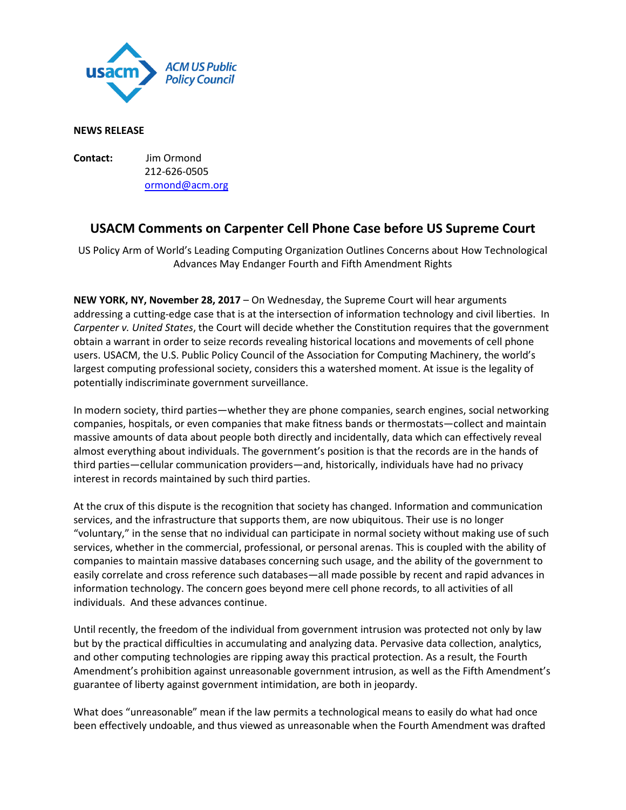

## **NEWS RELEASE**

**Contact:** Jim Ormond 212-626-0505 [ormond@acm.org](mailto:ormond@acm.org)

## **USACM Comments on Carpenter Cell Phone Case before US Supreme Court**

US Policy Arm of World's Leading Computing Organization Outlines Concerns about How Technological Advances May Endanger Fourth and Fifth Amendment Rights

**NEW YORK, NY, November 28, 2017** – On Wednesday, the Supreme Court will hear arguments addressing a cutting-edge case that is at the intersection of information technology and civil liberties. In *Carpenter v. United States*, the Court will decide whether the Constitution requires that the government obtain a warrant in order to seize records revealing historical locations and movements of cell phone users. USACM, the U.S. Public Policy Council of the Association for Computing Machinery, the world's largest computing professional society, considers this a watershed moment. At issue is the legality of potentially indiscriminate government surveillance.

In modern society, third parties—whether they are phone companies, search engines, social networking companies, hospitals, or even companies that make fitness bands or thermostats—collect and maintain massive amounts of data about people both directly and incidentally, data which can effectively reveal almost everything about individuals. The government's position is that the records are in the hands of third parties—cellular communication providers—and, historically, individuals have had no privacy interest in records maintained by such third parties.

At the crux of this dispute is the recognition that society has changed. Information and communication services, and the infrastructure that supports them, are now ubiquitous. Their use is no longer "voluntary," in the sense that no individual can participate in normal society without making use of such services, whether in the commercial, professional, or personal arenas. This is coupled with the ability of companies to maintain massive databases concerning such usage, and the ability of the government to easily correlate and cross reference such databases—all made possible by recent and rapid advances in information technology. The concern goes beyond mere cell phone records, to all activities of all individuals. And these advances continue.

Until recently, the freedom of the individual from government intrusion was protected not only by law but by the practical difficulties in accumulating and analyzing data. Pervasive data collection, analytics, and other computing technologies are ripping away this practical protection. As a result, the Fourth Amendment's prohibition against unreasonable government intrusion, as well as the Fifth Amendment's guarantee of liberty against government intimidation, are both in jeopardy.

What does "unreasonable" mean if the law permits a technological means to easily do what had once been effectively undoable, and thus viewed as unreasonable when the Fourth Amendment was drafted